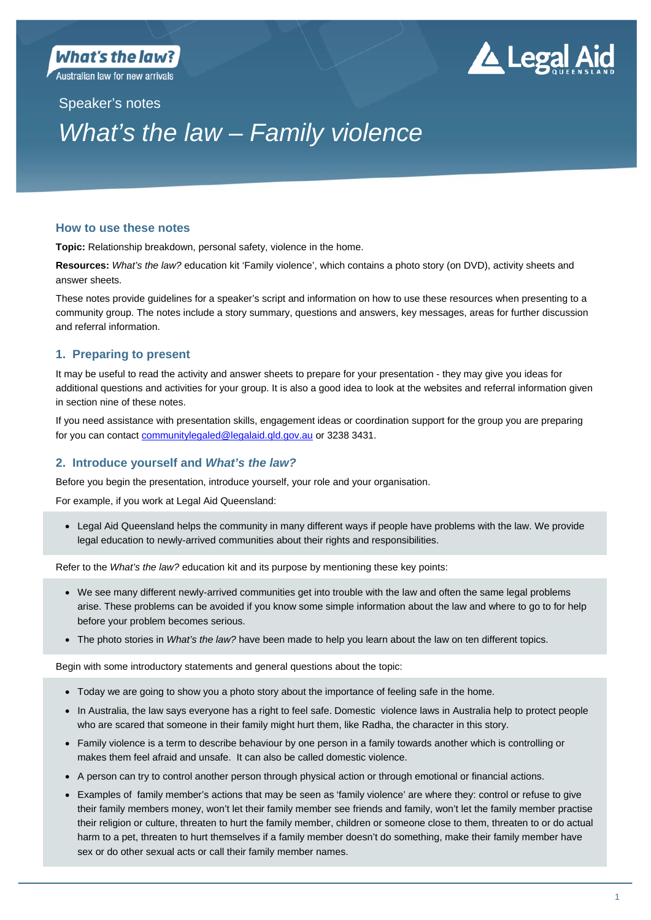Australian law for new arrivals

# ▲ Legal Aid

Speaker's notes

# *What's the law – Family violence*

## **How to use these notes**

**Topic:** Relationship breakdown, personal safety, violence in the home.

**Resources:** *What's the law?* education kit 'Family violence', which contains a photo story (on DVD), activity sheets and answer sheets.

These notes provide guidelines for a speaker's script and information on how to use these resources when presenting to a community group. The notes include a story summary, questions and answers, key messages, areas for further discussion and referral information.

# **1. Preparing to present**

It may be useful to read the activity and answer sheets to prepare for your presentation - they may give you ideas for additional questions and activities for your group. It is also a good idea to look at the websites and referral information given in section nine of these notes.

If you need assistance with presentation skills, engagement ideas or coordination support for the group you are preparing for you can contact communitylegaled@legalaid.qld.gov.au or 3238 3431.

# **2. Introduce yourself and** *What's the law?*

Before you begin the presentation, introduce yourself, your role and your organisation.

For example, if you work at Legal Aid Queensland:

 Legal Aid Queensland helps the community in many different ways if people have problems with the law. We provide legal education to newly-arrived communities about their rights and responsibilities.

Refer to the *What's the law?* education kit and its purpose by mentioning these key points:

- We see many different newly-arrived communities get into trouble with the law and often the same legal problems arise. These problems can be avoided if you know some simple information about the law and where to go to for help before your problem becomes serious.
- The photo stories in *What's the law?* have been made to help you learn about the law on ten different topics.

Begin with some introductory statements and general questions about the topic:

- Today we are going to show you a photo story about the importance of feeling safe in the home.
- In Australia, the law says everyone has a right to feel safe. Domestic violence laws in Australia help to protect people who are scared that someone in their family might hurt them, like Radha, the character in this story.
- Family violence is a term to describe behaviour by one person in a family towards another which is controlling or makes them feel afraid and unsafe. It can also be called domestic violence.
- A person can try to control another person through physical action or through emotional or financial actions.
- Examples of family member's actions that may be seen as 'family violence' are where they: control or refuse to give their family members money, won't let their family member see friends and family, won't let the family member practise their religion or culture, threaten to hurt the family member, children or someone close to them, threaten to or do actual harm to a pet, threaten to hurt themselves if a family member doesn't do something, make their family member have sex or do other sexual acts or call their family member names.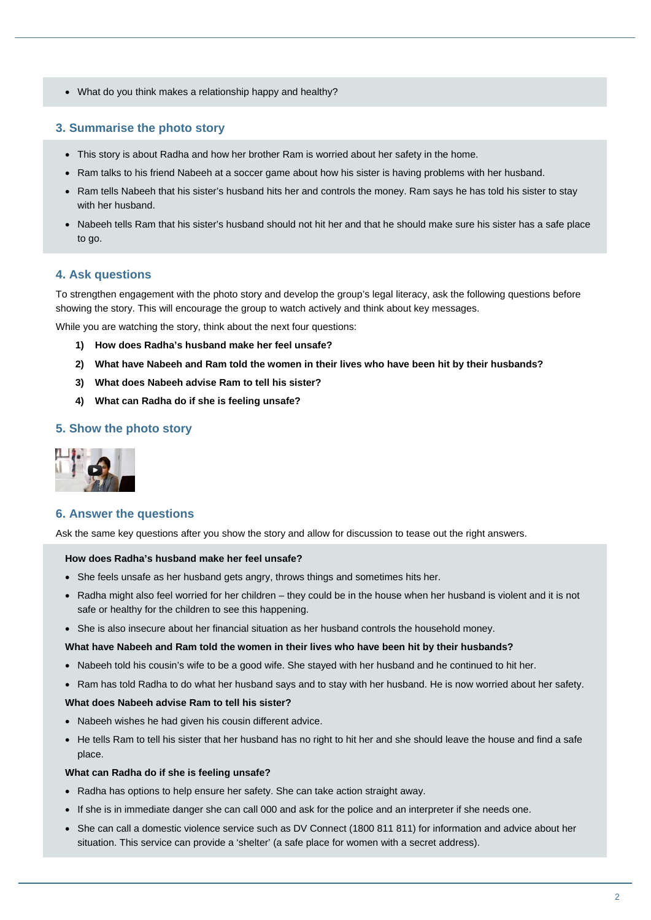What do you think makes a relationship happy and healthy?

#### **3. Summarise the photo story**

- This story is about Radha and how her brother Ram is worried about her safety in the home.
- Ram talks to his friend Nabeeh at a soccer game about how his sister is having problems with her husband.
- Ram tells Nabeeh that his sister's husband hits her and controls the money. Ram says he has told his sister to stay with her husband.
- Nabeeh tells Ram that his sister's husband should not hit her and that he should make sure his sister has a safe place to go.

#### **4. Ask questions**

To strengthen engagement with the photo story and develop the group's legal literacy, ask the following questions before showing the story. This will encourage the group to watch actively and think about key messages.

While you are watching the story, think about the next four questions:

- **1) How does Radha's husband make her feel unsafe?**
- **2) What have Nabeeh and Ram told the women in their lives who have been hit by their husbands?**
- **3) What does Nabeeh advise Ram to tell his sister?**
- **4) What can Radha do if she is feeling unsafe?**

#### **5. Show the photo story**



#### **6. Answer the questions**

Ask the same key questions after you show the story and allow for discussion to tease out the right answers.

#### **How does Radha's husband make her feel unsafe?**

- She feels unsafe as her husband gets angry, throws things and sometimes hits her.
- Radha might also feel worried for her children they could be in the house when her husband is violent and it is not safe or healthy for the children to see this happening.
- She is also insecure about her financial situation as her husband controls the household money.

#### **What have Nabeeh and Ram told the women in their lives who have been hit by their husbands?**

- Nabeeh told his cousin's wife to be a good wife. She stayed with her husband and he continued to hit her.
- Ram has told Radha to do what her husband says and to stay with her husband. He is now worried about her safety.

#### **What does Nabeeh advise Ram to tell his sister?**

- Nabeeh wishes he had given his cousin different advice.
- He tells Ram to tell his sister that her husband has no right to hit her and she should leave the house and find a safe place.

#### **What can Radha do if she is feeling unsafe?**

- Radha has options to help ensure her safety. She can take action straight away.
- If she is in immediate danger she can call 000 and ask for the police and an interpreter if she needs one.
- She can call a domestic violence service such as DV Connect (1800 811 811) for information and advice about her situation. This service can provide a 'shelter' (a safe place for women with a secret address).